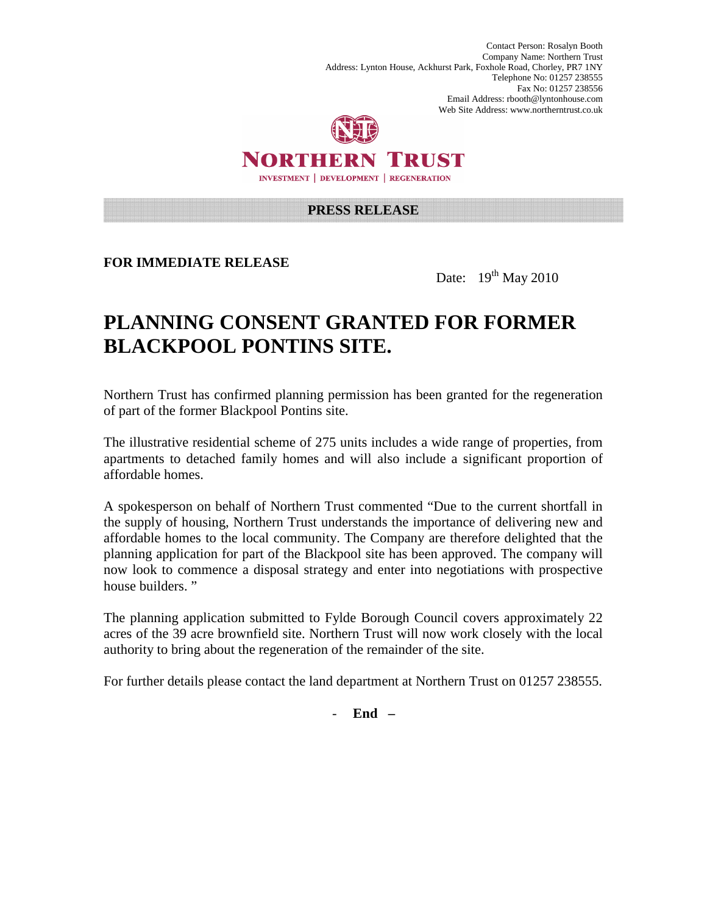Contact Person: Rosalyn Booth Company Name: Northern Trust Address: Lynton House, Ackhurst Park, Foxhole Road, Chorley, PR7 1NY Telephone No: 01257 238555 Fax No: 01257 238556 Email Address: rbooth@lyntonhouse.com Web Site Address: www.northerntrust.co.uk



NORTHERN TRUST **INVESTMENT | DEVELOPMENT | REGENERATION** 

## **PRESS RELEASE**

**FOR IMMEDIATE RELEASE** 

Date:  $19^{th}$  May 2010

## **PLANNING CONSENT GRANTED FOR FORMER BLACKPOOL PONTINS SITE.**

Northern Trust has confirmed planning permission has been granted for the regeneration of part of the former Blackpool Pontins site.

The illustrative residential scheme of 275 units includes a wide range of properties, from apartments to detached family homes and will also include a significant proportion of affordable homes.

A spokesperson on behalf of Northern Trust commented "Due to the current shortfall in the supply of housing, Northern Trust understands the importance of delivering new and affordable homes to the local community. The Company are therefore delighted that the planning application for part of the Blackpool site has been approved. The company will now look to commence a disposal strategy and enter into negotiations with prospective house builders."

The planning application submitted to Fylde Borough Council covers approximately 22 acres of the 39 acre brownfield site. Northern Trust will now work closely with the local authority to bring about the regeneration of the remainder of the site.

For further details please contact the land department at Northern Trust on 01257 238555.

- **End –**